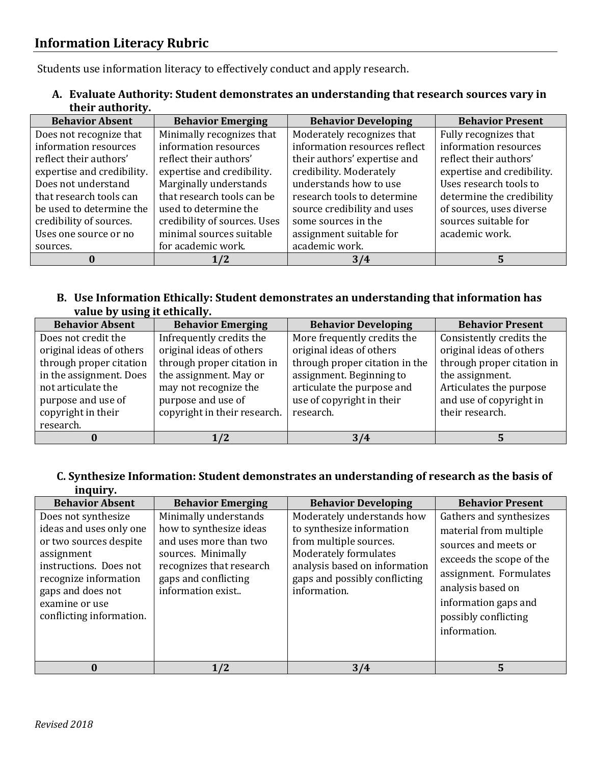Students use information literacy to effectively conduct and apply research.

**A. Evaluate Authority: Student demonstrates an understanding that research sources vary in their authority.**

| <b>Behavior Absent</b>     | <b>Behavior Emerging</b>     | <b>Behavior Developing</b>    | <b>Behavior Present</b>    |
|----------------------------|------------------------------|-------------------------------|----------------------------|
| Does not recognize that    | Minimally recognizes that    | Moderately recognizes that    | Fully recognizes that      |
| information resources      | information resources        | information resources reflect | information resources      |
| reflect their authors'     | reflect their authors'       | their authors' expertise and  | reflect their authors'     |
| expertise and credibility. | expertise and credibility.   | credibility. Moderately       | expertise and credibility. |
| Does not understand        | Marginally understands       | understands how to use        | Uses research tools to     |
| that research tools can    | that research tools can be   | research tools to determine   | determine the credibility  |
| be used to determine the   | used to determine the        | source credibility and uses   | of sources, uses diverse   |
| credibility of sources.    | credibility of sources. Uses | some sources in the           | sources suitable for       |
| Uses one source or no      | minimal sources suitable     | assignment suitable for       | academic work.             |
| sources.                   | for academic work.           | academic work.                |                            |
|                            | 1/2                          | 3/4                           | 5                          |

## **B. Use Information Ethically: Student demonstrates an understanding that information has value by using it ethically.**

| <b>Behavior Absent</b>   | <b>Behavior Emerging</b>     | <b>Behavior Developing</b>     | <b>Behavior Present</b>    |
|--------------------------|------------------------------|--------------------------------|----------------------------|
| Does not credit the      | Infrequently credits the     | More frequently credits the    | Consistently credits the   |
| original ideas of others | original ideas of others     | original ideas of others       | original ideas of others   |
| through proper citation  | through proper citation in   | through proper citation in the | through proper citation in |
| in the assignment. Does  | the assignment. May or       | assignment. Beginning to       | the assignment.            |
| not articulate the       | may not recognize the        | articulate the purpose and     | Articulates the purpose    |
| purpose and use of       | purpose and use of           | use of copyright in their      | and use of copyright in    |
| copyright in their       | copyright in their research. | research.                      | their research.            |
| research.                |                              |                                |                            |
|                          | 1/2                          | 3/4                            |                            |

## **C. Synthesize Information: Student demonstrates an understanding of research as the basis of inquiry.**

| <b>Behavior Absent</b>                                                                                                                                                                                       | <b>Behavior Emerging</b>                                                                                                                                                  | <b>Behavior Developing</b>                                                                                                                                                                   | <b>Behavior Present</b>                                                                                                                                                                                              |
|--------------------------------------------------------------------------------------------------------------------------------------------------------------------------------------------------------------|---------------------------------------------------------------------------------------------------------------------------------------------------------------------------|----------------------------------------------------------------------------------------------------------------------------------------------------------------------------------------------|----------------------------------------------------------------------------------------------------------------------------------------------------------------------------------------------------------------------|
| Does not synthesize<br>ideas and uses only one<br>or two sources despite<br>assignment<br>instructions. Does not<br>recognize information<br>gaps and does not<br>examine or use<br>conflicting information. | Minimally understands<br>how to synthesize ideas<br>and uses more than two<br>sources. Minimally<br>recognizes that research<br>gaps and conflicting<br>information exist | Moderately understands how<br>to synthesize information<br>from multiple sources.<br>Moderately formulates<br>analysis based on information<br>gaps and possibly conflicting<br>information. | Gathers and synthesizes<br>material from multiple<br>sources and meets or<br>exceeds the scope of the<br>assignment. Formulates<br>analysis based on<br>information gaps and<br>possibly conflicting<br>information. |
|                                                                                                                                                                                                              | 1/2                                                                                                                                                                       | 3/4                                                                                                                                                                                          | 5                                                                                                                                                                                                                    |